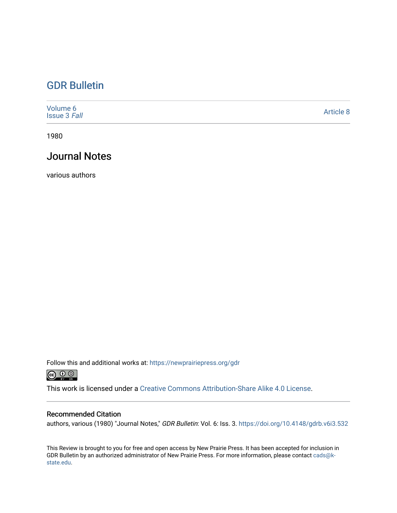## [GDR Bulletin](https://newprairiepress.org/gdr)

| Volume 6<br><b>Issue 3 Fall</b> | Article 8 |
|---------------------------------|-----------|
|---------------------------------|-----------|

1980

### Journal Notes

various authors

Follow this and additional works at: [https://newprairiepress.org/gdr](https://newprairiepress.org/gdr?utm_source=newprairiepress.org%2Fgdr%2Fvol6%2Fiss3%2F8&utm_medium=PDF&utm_campaign=PDFCoverPages) 



This work is licensed under a [Creative Commons Attribution-Share Alike 4.0 License.](https://creativecommons.org/licenses/by-sa/4.0/)

#### Recommended Citation

authors, various (1980) "Journal Notes," GDR Bulletin: Vol. 6: Iss. 3.<https://doi.org/10.4148/gdrb.v6i3.532>

This Review is brought to you for free and open access by New Prairie Press. It has been accepted for inclusion in GDR Bulletin by an authorized administrator of New Prairie Press. For more information, please contact [cads@k](mailto:cads@k-state.edu)[state.edu](mailto:cads@k-state.edu).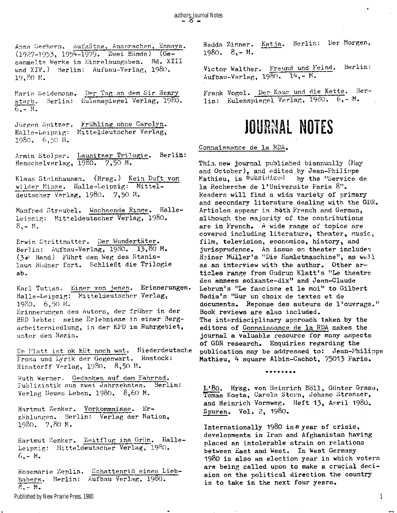**Anna Sechers. Aufsätze, Ansprachen, Essays.**  (1127-1953, **1954-1979. Zwei Bände) (Gesammelte Werke in Einzelausgaben. Bd. XIII**  und XIV.) Berlin: Aufbau-Verlag, 1980. 19,80 **M.** 

Maria Seidemann. Der Tag an dem Sir Henry **starb. Berlin: Eulenspiegel Verlag,19SO.**   $6 - M$ .

**Jürgen Spitzer. Frühling ohne Carolyn. Halle-Leipzig: Mitteldeutscher Verlag,**  1980. 6,50 **M.** 

Armin Stolper. Lausitzer Trilogie. Berlin: **Henschelverlag, 1980. 7,50 M.** 

**Klaus Steinhausen. (Hrsg.) Kein Duft von wilder Minze. Halle-Leipzig: Mitteldeutscher Verlag, 1980. 7,50 M.** 

**Manfred Streubel. Wachsende Ringe. Halle-Leipzig: Mitteldeutscher Verlag, 1980.**   $8 - M$ 

**Erwin Strittmatter. Der Wundertäter. Berlin: Aufbau-Verlag, I98O. 13,80 M.**  (3^ **Band) Führt den Weg des Stanislaus Büdner fort . Schließt die Trilogi e ab.** 

**Karl Tuttas. Einer von jenen. Erinnerungen. Halle-Leipzig: Mitteldeutscher Verlag, I98O. 6,50 M. Erinnerungen des Autors, der früher in der BHD lebte: seine Erlebnisse in einer Bergarbeitersiedlung, in der KPD im Ruhrgebiet, unter den Nazis.** 

Um Platt ist ok hüt noch wat. Niederdeutsche **Prosa und Lyrik der Gegenwart. Rostock: Hinstorff Vorlag, I980. 8,5" M.** 

**Ruth Werner. Gedanken auf den Fahrrad.**  Publizistik aus zwei Jahrzehnten. Berlin: **Verlag Heues Leben, I980. 8,60 M.** 

**Hartmut Zenker. Vorkommnisse. Erzählungen. Berlin: Verlag der Nation, 1980. 7,80 M.** 

Hartmut Zenker. Zeitflug ins Grün. Halle-**Leipzig: Mitteldeutscher Verlag, I980. 6,-'M.** 

**Rosemarie Zeplin. Schattenriß eines Liebhabers. Berlin: Aufbau Verlag,** I980.  $8, - M$ .

Published by New Prairie Press, 1980

**Hedda Zinner. Katja. Berlin: Der Morgen, 1980. 8,- M.** 

**Victor Walther. Freund und Feind. Berlin:**  Aufbau-Verlag, 1980. 14,- M.

**Frank Vogel. Der Kauz und die Kette. Berlin : Kulenspiegel Verlag, 1900. 6,- M.** 

## **JOURNAL NOTES**

Connaissance de la RDA.

**This.new journal published biannually (May and October), and edited by Jean-Philippe Mathieu, i s Subsidized by the "Service de l a Recherche de l'Universite Paris 8".**  Readers will find a wide variety of primary and secondary literature dealing with the GDR. **Article s appear in b^th French and German, although the majority of the contributions are i n French. A wide range of topics are**  covered including literature, theater, music, **film , television , economics, history, and jurisprudence. An issue on theater includes Heiner Müller's "Die Hamletmaschine", as well as an interview with the author. Other are tide s range from Gudrun Klatt's "Le theatre des annees soixante-dix" and Jean-Claude**  Lebrun's "Le fascisme et le moi" to Gilbert **Badia's "Sur un choix de textes et de documents. Reponse des auteurs de l'ouvrage." Book reviews are also included. The interdisciplinary approach taken by the**  editors of Connaissance de la RDA makes the **journal a valuable resource for many aspects of GDR research. Enquiries regarding the publication may be addressed to: Jean-Philippe Mathieu, 4 square Albin-Cachot, 75013 Paris.** 

**\*\*\*\*\*\*\* \*** 

**L'8o. Hrsg. von Heinrich Boll , Günter Grass, Tomas Kosta, Carola Stern, Johano Strasser,**  and Heinrich Vormweg. Heft 13, Anril 1980. **Spuren. Vol. 2, 1980.** 

**Internationally 1980 i s a year of crisis , developments in Iran and Afghanistan having placed an intolerable strain on relations between East and West. In West Germany 1980 i s also an election year i n which voters**  are being called upon to make a crucial decision on the political direction the country is to take in the next four years.

1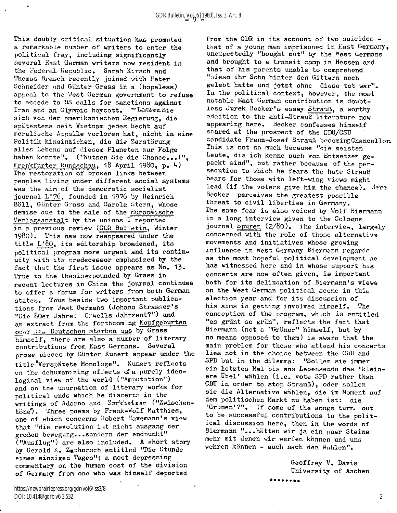This doubly critical situation has prompted **a remarkable number of writers to enter the political fray, including significantly several East German writers now resident in the Federal Republic. Sarah Kirsch and Thomas Brasch recently joined with Peter Schneider and Günter Grass in a (hopeless) appeal to the West German government to refuse to accede to US calls for sanctions against Iran and an Olympic boycott. "'LassenSie sich von der amerikanischen Regierung, die spätestens seit Vietnam jedes Recht auf moralische Appelle verloren hat, nicht i n eine Politik hineinziehen, die die Zerstörung alles Lebens auf diesem Planeten zur Folge haben könnte". ("Nutzen Sie die Chance...!"" Frankfurter Rundschau,** 18 **April** 1980, **p.** *k)*  **The restoration of broken links between peoples living under different social systems was the aim of the democratic socialist journal L**'76, **founded in** 1976 **by Heinrich Boll, Günter Grass and Carola Stern, whose demise due to the sale of the Europäische Verlagsanstalt by the unions I reported in a previous review (GDR Bulletin, Winter**  1980). **This has now reappeared under the**  title L'80, its editorship broadened, its **political program more urgent and its continuity with its predecessor emphasized by the**  fact that the first issue appears as No. 13. Iact that the IIPSt ISSue appears as *no.*<br>Two to the thesisexpounded by Grass in **recent the thesis expounded by Grass in Theory of the service in China the journal continues recent lectures in China the journal continues**<br>the effect a forum for writers from both German to offer a forum for writers irom ooth werm<br>https://www.beside.two.important.publicastates. Thus beside two important publications from West Germans (Johano Strasser's "Die 80er Jahre: Orwells Jahrzent?") and an extract from the forthcoming Kopfgeburten oder die Deutschen sterben aus by Grass himself, there are also a number of literary contributions from East Germans. Several prose pieces by Günter Kunert appear under the title "Verspätete Monologe". Kunert reflects on the dehumanizing effects of a purely ideo**logical view of the world ("Amputation")** and on the usurpation of literary works for political ends which he discerns in the writings of Adorno and Horkheimer ("Zwischentöne"). Three poems by Frank-Wolf Matthies, one of which concerns Robert Havemann's view that "die revolution ist nicht ausgang der großen bewegung...sondern der endnunkt" ("Ausflug") are also included. A short story by Gerald K. Zgchorsch entitled "Die Stunde eines einzigen Tages"; a most depressing commentary on the human cost of the division of Germany from one who was himself deported

https://newprairiepress.org/gdr/vol6/iss3/8 DOI: 10.4148/gdrb.v6i3.532

**from the GDR in its account of two suicides that of a young man imprisoned in East Germany,**  unexpectedly "bought out" by the west Germans **and brought to a transit camp in Hessen and that of his parents unable to comprehend**  "v**/ieso ihr Sohn hinter den Gittern noch gelebt hatte und jetzt ohne diese tot war". In the political context, however, the most notable East German contribution is doubtless Jurek Becker's essay Strauß, a worthy addition to the anti-Strauß literature now appearing here. Becker confesses himself scared at the prospect of the CDU/CSU candidate Franz-Josef Strauß becomingChancellor. This i s not so much because "die meisten Leute, die ich kenne auch von Entsetzen gepackt sind", but rather because of the persecution to which he fears the hate Strauß bears for those with left-wing views might lead (if the voters give him the chance), Becker perceives the greatest possible**  threat to civil liberties in Germany. **The same fear is also voiced by Wolf Biermann in a long interview given to the Cologne journal Spuren** (2/8o). **The interview, largely concerned with the role of those alternative movements and initiatives whose growing influence in West Germany Biermann regards as the most hopeful political development ne has witnessed here and in whose support his concerts are now often given, is important**  both for its delineation of Biermann's views **on the West German political scene in this election year and for its discussion of his aims in getting involved himself. The conception of the program, which is entitled "es grünt so grün", reflects the fact that "es grünt so grün", reflects the fact that Biermann (not a "Grüner" himself, but by no means opposed to them) is aware that the main problem for those who attend his concerts lies not in the choice between the CDU and SPD but in the dilemma: "Sollen sie immer ein letztes Mal bis ans Lebensende das 'kleinere Übel' wählen (i.e. vote SPD rather than CDU in order to stop Strauß), oder sollen**  CDU in order to stop Strauß), oder sollen **dem politischen Markt zu haben ist : die 'Grünen'?". If some of the songs turni out to be successful contributions to the polit**to be successful contributions to the political discussion here, then in the words of Biermann "...hätten wir ja ein paar Steine mehr mit denen wir werfen können und uns wehren können - auch nach den Wahlen".

> **Geoffrey V. Davis University of Aachen**

\*\*\*\*\*\*\*\*

2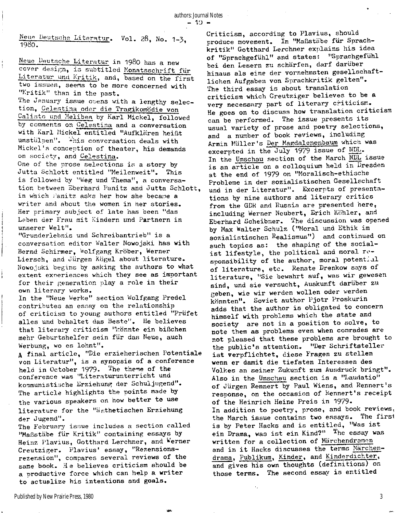**Neue Deutschs Literatur . Vol.** 28. **No. 1-3 1980. '** 

Neue Deutsche Literatur in 1980 has a new **cover design, i s subtitled Monatsschrift für**  Literatur und Kritik, and, based on the first **two issues, seems to be more concerned with**  "Kritik" than in the past.

ł.

**The January issue opens with a lengthy selection , Celestina oder die Tragikomödie von Calisto und Meiibea by Karl Mickel, followed by comments on Celestina and a conversation with Karl Mickel entitled "Aufklären heißt**  umstülpen". <sup>This</sup> conversation deals with **Mickel's conception of theater, his demands on society, and Celestina.** 

One of the prose selections is a story by **Jutta Schlott entitled "Meilenweit". This <sup>i</sup> s followed by "Weg und Thema", a conversation between Eberhard Panitz and Jutta Schlott, in which Panitz asks her how she became a writer and about the women in her stories . Her primary subject of late has been "das**  Leben der Frau mit Kindern und Partnern in **unserer Welt".** 

**"Grunderlebnis und Schreibantrieb" i s a conversation editor Walter Nowojski has with Bernd Schirmer, Wolfgang Kröber, Werner Liersch, and Jürgen Kögel about literature . Nowojski begins by asking the authors to what extent experiences which they see as important**  for their generation play a role in their **own literar y works.** 

**In the "Neue Werke" section Wolfgang Predel contributes an essay on the relationship of criticis m to young authors entitled "Prüfet**  alles und behaltet das Beste". He believes **that literar y criticis m "könnte ein bißchen mehr Geburtshelfer sein für das Neue, auch Werbung, wo es lohnt".** 

**A fina l article , "Die erzieherischen Potentiale von Literatur", i s a synopsis of a conference**  held in October 1979. The theme of the **conference was "Literaturunterricht und kommunistische Erziehung der Schuljugend".**  The article highlights the points made by **the various speakers on how better to use literatur e for the "ästhetischen Erziehung der Jugend".** 

**The February issue includes a section called "Maßstäbe für Kritik " containing essays by Heinz Plavius, Gotthard Lerchner, and Werner Creutziger. Plavius' essay, "Rezensionsrezension", compares several reviews of the**  same book. He believes criticism should be **a productive force which can help a writer to actualize his intentions and goals.** 

Criticism, according to Plavius, should **produce movement. In "Maßstäbe für Sprachkritik " Gotthard Lerchner explains his idea of "Sprachgefühl" and states: "Sprachgefühl bei den Lesern zu schärfen, darf darüber hinaus als eine der vornehmsten gesellschaftlichen Aufgaben von Sprachkritik gelten".**  The third essay is about translation **criticis m which Creutziger believes to be a very necessary part of literar y criticism . He goes on to discuss how translation criticis m**  can be performed. The issue presents its **usual variety of prose and poetry selections, and a number of book reviews, including Armin Müller's Der Magdalenenbaum which was**  excerpted in the July 1979 issue of NDL. **In the Umschau section of the March NDL issue**  is an article on a colloquium held in Dresden **at the end of 1979 on "Moralisch-ethische Probleme i n der sozialistischen Gesellschaft und in der Literatur". Excerpts of presentations by nine authors and literar y critic s from the GDR and Russia are presented here, including Werner Neubert, Erich Köhler, and Eberhard Scheibner. The discussion was opened by Max Walter Schulz ("Moral und Ethik im sozialistischen Realismus") and continued on**  such topics as: the shaping of the socialist lifestyle, the political and moral re**sponsibility of the author, moral potential of literature , etc. Renate Drenkow says of literature , "Sie bewahrt auf, was wir gewesen sind, und sie versucht, Auskunft darüber zu geben, wie wir werden wollen oder werden könnten". Soviet author Pjotr Proskurin**  adds that the author is obligated to concern **himself with problems which the state and society are not i n a position to solve, to note them as problems even when comrades are not pleased that these problems are brought to**  the public's attention. "Der Schriftsteller ist verpflichtet, diese Fragen zu stellen **wenn er damit die tiefsten Interessen des Volkes an seiner Zukunft zum Ausdruck bringt".**  Also in the Umschau section is a "Laudatio" **of Jürgen Rennert by Paul Wiens, and Rennert's response, on the occasion of Rennert's receipt of the Heinrich Heine Preis in 1979. In addition to poetry, prose, and book reviews,**  the March issue contains two essays. The first is by Peter Hacks and is entitled, "Was ist **ein Drama, was is t ein Kind?" The essay was written for a collectio n of Märchendramen**  written for a collection of <u>natthenum machinese</u> **drama, Publikum, Kinder, and Kinderdichter,**  drama, Publikum, Kinder, and Kinderdichter, and gives his own thoughts (definitions) on those terms. The second essay is entitled

 $\epsilon_{\rm{B}}$ 

3